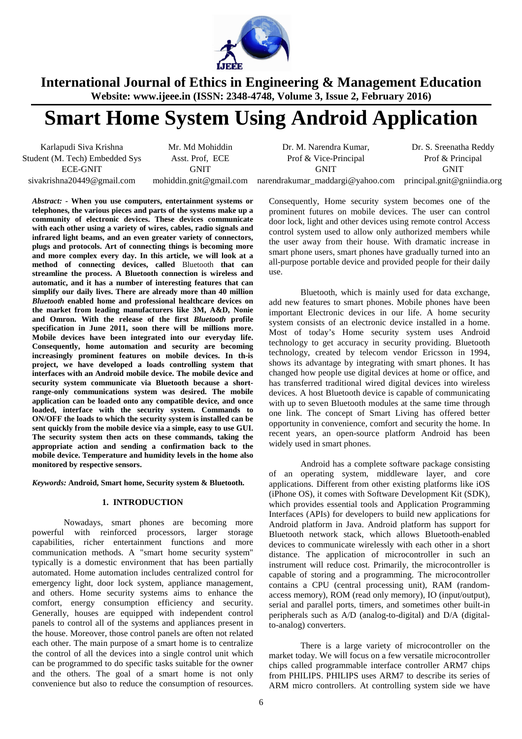

# **Smart Home System Using Android Application**

Karlapudi Siva Krishna Mr. Md Mohiddin Dr. M. Narendra Kumar, Dr. S. Sreenatha Reddy Student (M. Tech) Embedded Sys Asst. Prof, ECE Prof & Vice-Principal Prof & Principal ECE-GNIT GNIT GNIT GNIT

sivakrishna20449@gmail.com mohiddin.gnit@gmail.com narendrakumar\_maddargi@yahoo.com principal.gnit@gniindia.org Consequently, Home security system becomes one of the prominent futures on mobile devices. The user can control door lock, light and other devices using remote control Access control system used to allow only authorized members while the user away from their house. With dramatic increase in smart phone users, smart phones have gradually turned into an

> all-purpose portable device and provided people for their daily use. Bluetooth, which is mainly used for data exchange, add new features to smart phones. Mobile phones have been important Electronic devices in our life. A home security system consists of an electronic device installed in a home. Most of today's Home security system uses Android technology to get accuracy in security providing. Bluetooth technology, created by telecom vendor Ericsson in 1994, shows its advantage by integrating with smart phones. It has changed how people use digital devices at home or office, and has transferred traditional wired digital devices into wireless devices. A host Bluetooth device is capable of communicating with up to seven Bluetooth modules at the same time through one link. The concept of Smart Living has offered better opportunity in convenience, comfort and security the home. In recent years, an open-source platform Android has been widely used in smart phones.

> > Android has a complete software package consisting of an operating system, middleware layer, and core applications. Different from other existing platforms like iOS (iPhone OS), it comes with Software Development Kit (SDK), which provides essential tools and Application Programming Interfaces (APIs) for developers to build new applications for Android platform in Java. Android platform has support for Bluetooth network stack, which allows Bluetooth-enabled devices to communicate wirelessly with each other in a short distance. The application of microcontroller in such an instrument will reduce cost. Primarily, the microcontroller is capable of storing and a programming. The microcontroller contains a CPU (central processing unit), RAM (randomaccess memory), ROM (read only memory), IO (input/output), serial and parallel ports, timers, and sometimes other built-in peripherals such as A/D (analog-to-digital) and D/A (digitalto-analog) converters.

> > There is a large variety of microcontroller on the market today. We will focus on a few versatile microcontroller chips called programmable interface controller ARM7 chips from PHILIPS. PHILIPS uses ARM7 to describe its series of ARM micro controllers. At controlling system side we have

**community of electronic devices. These devices communicate with each other using a variety of wires, cables, radio signals and infrared light beams, and an even greater variety of connectors, plugs and protocols. Art of connecting things is becoming more and more complex every day. In this article, we will look at a method of connecting devices, called** Bluetooth **that can streamline the process. A Bluetooth connection is wireless and automatic, and it has a number of interesting features that can simplify our daily lives. There are already more than 40 million**  *Bluetooth* **enabled home and professional healthcare devices on the market from leading manufacturers like 3M, A&D, Nonie and Omron. With the release of the first** *Bluetooth* **profile specification in June 2011, soon there will be millions more. Mobile devices have been integrated into our everyday life. Consequently, home automation and security are becoming increasingly prominent features on mobile devices. In th-is project, we have developed a loads controlling system that interfaces with an Android mobile device. The mobile device and security system communicate via Bluetooth because a shortrange-only communications system was desired. The mobile application can be loaded onto any compatible device, and once loaded, interface with the security system. Commands to ON/OFF the loads to which the security system is installed can be sent quickly from the mobile device via a simple, easy to use GUI. The security system then acts on these commands, taking the appropriate action and sending a confirmation back to the mobile device. Temperature and humidity levels in the home also monitored by respective sensors.** 

*Abstract: -* **When you use computers, entertainment systems or telephones, the various pieces and parts of the systems make up a** 

*Keywords:* **Android, Smart home, Security system & Bluetooth.** 

### **1. INTRODUCTION**

 Nowadays, smart phones are becoming more powerful with reinforced processors, larger storage capabilities, richer entertainment functions and more communication methods. A "smart home security system" typically is a domestic environment that has been partially automated. Home automation includes centralized control for emergency light, door lock system, appliance management, and others. Home security systems aims to enhance the comfort, energy consumption efficiency and security. Generally, houses are equipped with independent control panels to control all of the systems and appliances present in the house. Moreover, those control panels are often not related each other. The main purpose of a smart home is to centralize the control of all the devices into a single control unit which can be programmed to do specific tasks suitable for the owner and the others. The goal of a smart home is not only convenience but also to reduce the consumption of resources.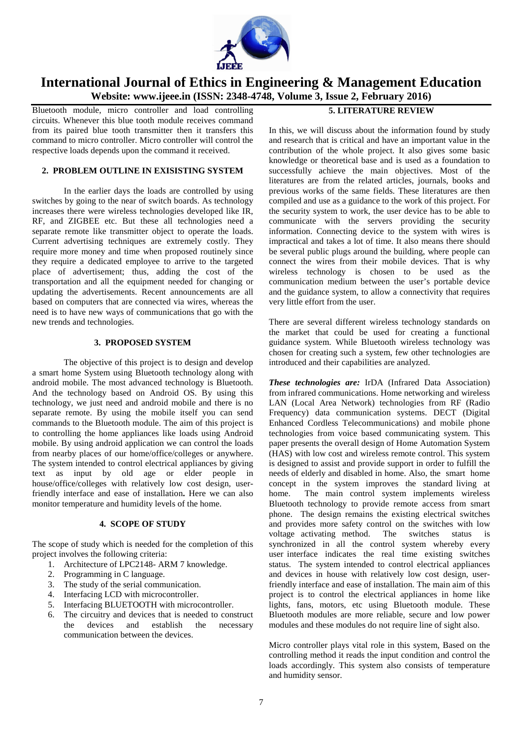

Bluetooth module, micro controller and load controlling circuits. Whenever this blue tooth module receives command from its paired blue tooth transmitter then it transfers this command to micro controller. Micro controller will control the respective loads depends upon the command it received.

### **2. PROBLEM OUTLINE IN EXISISTING SYSTEM**

In the earlier days the loads are controlled by using switches by going to the near of switch boards. As technology increases there were wireless technologies developed like IR, RF, and ZIGBEE etc. But these all technologies need a separate remote like transmitter object to operate the loads. Current advertising techniques are extremely costly. They require more money and time when proposed routinely since they require a dedicated employee to arrive to the targeted place of advertisement; thus, adding the cost of the transportation and all the equipment needed for changing or updating the advertisements. Recent announcements are all based on computers that are connected via wires, whereas the need is to have new ways of communications that go with the new trends and technologies.

### **3. PROPOSED SYSTEM**

 The objective of this project is to design and develop a smart home System using Bluetooth technology along with android mobile. The most advanced technology is Bluetooth. And the technology based on Android OS. By using this technology, we just need and android mobile and there is no separate remote. By using the mobile itself you can send commands to the Bluetooth module. The aim of this project is to controlling the home appliances like loads using Android mobile. By using android application we can control the loads from nearby places of our home/office/colleges or anywhere. The system intended to control electrical appliances by giving text as input by old age or elder people in house/office/colleges with relatively low cost design, userfriendly interface and ease of installation**.** Here we can also monitor temperature and humidity levels of the home.

### **4. SCOPE OF STUDY**

The scope of study which is needed for the completion of this project involves the following criteria:

- 1. Architecture of LPC2148- ARM 7 knowledge.
- 2. Programming in C language.
- 3. The study of the serial communication.
- 4. Interfacing LCD with microcontroller.
- 5. Interfacing BLUETOOTH with microcontroller.
- 6. The circuitry and devices that is needed to construct the devices and establish the necessary communication between the devices.

### **5. LITERATURE REVIEW**

In this, we will discuss about the information found by study and research that is critical and have an important value in the contribution of the whole project. It also gives some basic knowledge or theoretical base and is used as a foundation to successfully achieve the main objectives. Most of the literatures are from the related articles, journals, books and previous works of the same fields. These literatures are then compiled and use as a guidance to the work of this project. For the security system to work, the user device has to be able to communicate with the servers providing the security information. Connecting device to the system with wires is impractical and takes a lot of time. It also means there should be several public plugs around the building, where people can connect the wires from their mobile devices. That is why wireless technology is chosen to be used as the communication medium between the user's portable device and the guidance system, to allow a connectivity that requires very little effort from the user.

There are several different wireless technology standards on the market that could be used for creating a functional guidance system. While Bluetooth wireless technology was chosen for creating such a system, few other technologies are introduced and their capabilities are analyzed.

*These technologies are:* IrDA (Infrared Data Association) from infrared communications. Home networking and wireless LAN (Local Area Network) technologies from RF (Radio Frequency) data communication systems. DECT (Digital Enhanced Cordless Telecommunications) and mobile phone technologies from voice based communicating system. This paper presents the overall design of Home Automation System (HAS) with low cost and wireless remote control. This system is designed to assist and provide support in order to fulfill the needs of elderly and disabled in home. Also, the smart home concept in the system improves the standard living at home. The main control system implements wireless Bluetooth technology to provide remote access from smart phone. The design remains the existing electrical switches and provides more safety control on the switches with low voltage activating method. The switches status is synchronized in all the control system whereby every user interface indicates the real time existing switches status. The system intended to control electrical appliances and devices in house with relatively low cost design, userfriendly interface and ease of installation. The main aim of this project is to control the electrical appliances in home like lights, fans, motors, etc using Bluetooth module. These Bluetooth modules are more reliable, secure and low power modules and these modules do not require line of sight also.

Micro controller plays vital role in this system, Based on the controlling method it reads the input condition and control the loads accordingly. This system also consists of temperature and humidity sensor.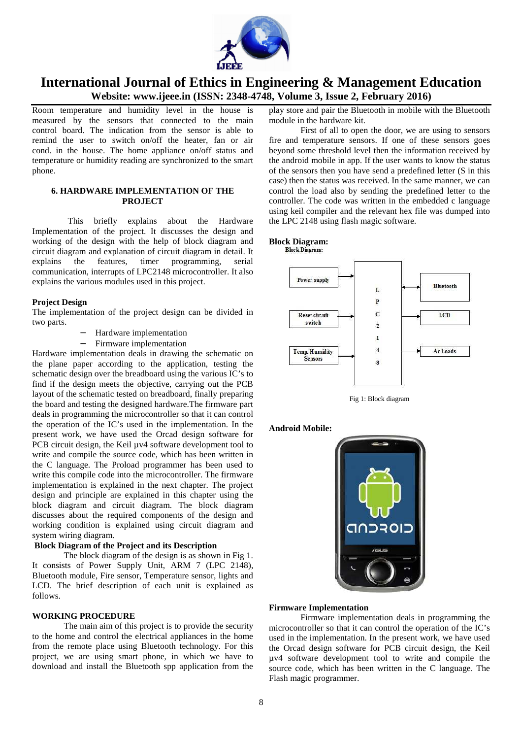

Room temperature and humidity level in the house is measured by the sensors that connected to the main control board. The indication from the sensor is able to remind the user to switch on/off the heater, fan or air cond. in the house. The home appliance on/off status and temperature or humidity reading are synchronized to the smart phone.

### **6. HARDWARE IMPLEMENTATION OF THE PROJECT**

This briefly explains about the Hardware Implementation of the project. It discusses the design and working of the design with the help of block diagram and circuit diagram and explanation of circuit diagram in detail. It explains the features, timer programming, serial communication, interrupts of LPC2148 microcontroller. It also explains the various modules used in this project.

### **Project Design**

The implementation of the project design can be divided in two parts.

- − Hardware implementation
- − Firmware implementation

Hardware implementation deals in drawing the schematic on the plane paper according to the application, testing the schematic design over the breadboard using the various IC's to find if the design meets the objective, carrying out the PCB layout of the schematic tested on breadboard, finally preparing the board and testing the designed hardware.The firmware part deals in programming the microcontroller so that it can control the operation of the IC's used in the implementation. In the present work, we have used the Orcad design software for PCB circuit design, the Keil  $\mu$ v4 software development tool to write and compile the source code, which has been written in the C language. The Proload programmer has been used to write this compile code into the microcontroller. The firmware implementation is explained in the next chapter. The project design and principle are explained in this chapter using the block diagram and circuit diagram. The block diagram discusses about the required components of the design and working condition is explained using circuit diagram and system wiring diagram.

### **Block Diagram of the Project and its Description**

 The block diagram of the design is as shown in Fig 1. It consists of Power Supply Unit, ARM 7 (LPC 2148), Bluetooth module, Fire sensor, Temperature sensor, lights and LCD. The brief description of each unit is explained as follows.

### **WORKING PROCEDURE**

 The main aim of this project is to provide the security to the home and control the electrical appliances in the home from the remote place using Bluetooth technology. For this project, we are using smart phone, in which we have to download and install the Bluetooth spp application from the

play store and pair the Bluetooth in mobile with the Bluetooth module in the hardware kit.

 First of all to open the door, we are using to sensors fire and temperature sensors. If one of these sensors goes beyond some threshold level then the information received by the android mobile in app. If the user wants to know the status of the sensors then you have send a predefined letter (S in this case) then the status was received. In the same manner, we can control the load also by sending the predefined letter to the controller. The code was written in the embedded c language using keil compiler and the relevant hex file was dumped into the LPC 2148 using flash magic software.

# **Block Diagram:**







**Android Mobile:** 



### **Firmware Implementation**

Firmware implementation deals in programming the microcontroller so that it can control the operation of the IC's used in the implementation. In the present work, we have used the Orcad design software for PCB circuit design, the Keil µv4 software development tool to write and compile the source code, which has been written in the C language. The Flash magic programmer.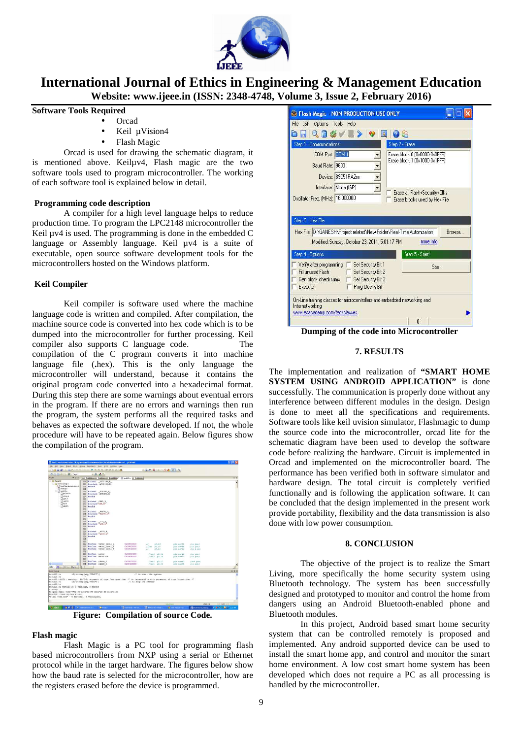

### **Software Tools Required**

- Orcad
- Keil uVision4
- Flash Magic

Orcad is used for drawing the schematic diagram, it is mentioned above. Keiluv<sub>4</sub>, Flash magic are the two software tools used to program microcontroller. The working of each software tool is explained below in detail.

### **Programming code description**

 A compiler for a high level language helps to reduce production time. To program the LPC2148 microcontroller the Keil  $\mu$ v4 is used. The programming is done in the embedded C language or Assembly language. Keil  $\mu$ v4 is a suite of executable, open source software development tools for the microcontrollers hosted on the Windows platform.

### **Keil Compiler**

Keil compiler is software used where the machine language code is written and compiled. After compilation, the machine source code is converted into hex code which is to be dumped into the microcontroller for further processing. Keil compiler also supports C language code. The compilation of the C program converts it into machine language file (**.**hex). This is the only language the microcontroller will understand, because it contains the original program code converted into a hexadecimal format. During this step there are some warnings about eventual errors in the program. If there are no errors and warnings then run the program, the system performs all the required tasks and behaves as expected the software developed. If not, the whole procedure will have to be repeated again. Below figures show the compilation of the program.

| <b>CONGRA</b><br>2010 His alk mill Wall Taget 1                                                                                                                                                                                                                                                             |                                                                                                                                                                                                                                                                                                                                                                                                                                          |                                                                                                                                                                                                                                                                                                                 |                                                                    | 300000000                                                                          |                                                                |                                                                    |                     |
|-------------------------------------------------------------------------------------------------------------------------------------------------------------------------------------------------------------------------------------------------------------------------------------------------------------|------------------------------------------------------------------------------------------------------------------------------------------------------------------------------------------------------------------------------------------------------------------------------------------------------------------------------------------------------------------------------------------------------------------------------------------|-----------------------------------------------------------------------------------------------------------------------------------------------------------------------------------------------------------------------------------------------------------------------------------------------------------------|--------------------------------------------------------------------|------------------------------------------------------------------------------------|----------------------------------------------------------------|--------------------------------------------------------------------|---------------------|
| Project<br>$-9$ $\times$                                                                                                                                                                                                                                                                                    | $-8.6$                                                                                                                                                                                                                                                                                                                                                                                                                                   | Tuome il tarpetti Tuumee                                                                                                                                                                                                                                                                                        | 21 test123x in Linksam                                             |                                                                                    |                                                                |                                                                    | $\mathbf{v} \times$ |
| <b>B. Eng Tercel 1</b>                                                                                                                                                                                                                                                                                      |                                                                                                                                                                                                                                                                                                                                                                                                                                          |                                                                                                                                                                                                                                                                                                                 |                                                                    |                                                                                    |                                                                |                                                                    |                     |
| E dia Source Group 1<br>5. These Time Automation Of<br><b>BRANDLE</b><br>$8 - 23$ test 123.0<br>Discreed<br><b>Jimph</b><br><b>Den</b> h<br>awo.h<br>Skdh<br>Sadd.h.                                                                                                                                        | 001-Fistner LPC214X H<br>002 Feadif<br>004<br>ook<br>006<br>007<br>Feadif<br><b>ODE</b><br>con<br>#ifndef GSMD H<br>#include"Gin. H"<br><b>OYD</b><br>in t<br>deadir<br>012<br>013<br>组<br>$015$ $$$ cadif<br>O(4)<br>072<br>Wifndef LCD H<br>Sinclude "LCD.h"<br><b>O16</b><br>019<br><b>Wendif</b><br>020<br>621<br>822<br>023<br>deadif<br><b>CDV</b><br>635<br><b>COC</b><br>027<br>628<br>029<br>639<br>Sdefine sator<br>cos<br>etc | 002 #include <lpc214x.h><br/>#ifndef STRING H<br/><b>Stanlade citizing, its</b><br/>#ifndef VARTO H<br/>#include "UARTO.h"<br/>#ifndef, abco E<br/><b>Finclude "ADCO.A"</b><br/>Mdefine water leval L<br/><b>Wdefine</b> water level <b>N</b><br/><b>Sdefine</b> water level M<br/>#define moisture</lpc214x.h> | 0x00100400<br>0x00006000<br>0x40010000<br>0100004000<br>0x00840000 | W<br>80.10<br>$1/1231 = 20.15$<br>10.16<br>n<br>$1/224$ $D2.14$<br>$11683 - 10.18$ | pin newle<br>ask paved.<br>220 Armed<br>His bares<br>218 83453 | (LH, 2dA)<br>(10.733)<br>$(18.7 - 10)$<br>(10, 20.8)<br>(12.2.243) |                     |
|                                                                                                                                                                                                                                                                                                             | 633                                                                                                                                                                                                                                                                                                                                                                                                                                      | #dsfine, phase 2                                                                                                                                                                                                                                                                                                | 0x00220000                                                         | $11252 - 20.17$                                                                    | pin numer                                                      | reat pin)                                                          |                     |
| En Class Drug Batter                                                                                                                                                                                                                                                                                        | ON Edefine phase 2<br>H                                                                                                                                                                                                                                                                                                                                                                                                                  |                                                                                                                                                                                                                                                                                                                 | 0100100000                                                         | 7/ga6 pb.20                                                                        | sin nowES.                                                     | [10.74.1]                                                          |                     |
|                                                                                                                                                                                                                                                                                                             |                                                                                                                                                                                                                                                                                                                                                                                                                                          |                                                                                                                                                                                                                                                                                                                 |                                                                    |                                                                                    |                                                                |                                                                    |                     |
| <b>Build Outsur</b><br>EAM5123.(0)                                                                                                                                                                                                                                                                          | if ((strong (nog, "3TART"))                                                                                                                                                                                                                                                                                                                                                                                                              |                                                                                                                                                                                                                                                                                                                 |                                                                    | // to start the system:                                                            |                                                                |                                                                    | $-1 x$              |
| test123.ct                                                                                                                                                                                                                                                                                                  |                                                                                                                                                                                                                                                                                                                                                                                                                                          |                                                                                                                                                                                                                                                                                                                 |                                                                    |                                                                                    |                                                                |                                                                    |                     |
| test121.c1130:; warning: #167-D: argument of type "unsigned cher *" is incommentable with parameter of type "const char *"<br>test123.01<br>test123.01<br>testi23.c; test123.c; 3 warnings, 8 errors<br>lisking<br>Fragrew Size: Code=7732 RO-date=32 BR-data=20 21-date=1452<br>FromELF: creating hex file | if (!strong (mag, "3T03") )                                                                                                                                                                                                                                                                                                                                                                                                              |                                                                                                                                                                                                                                                                                                                 | // to stop the system;                                             |                                                                                    |                                                                |                                                                    |                     |

**Figure: Compilation of source Code.** 

### **Flash magic**

Flash Magic is a PC tool for programming flash based microcontrollers from NXP using a serial or Ethernet protocol while in the target hardware. The figures below show how the baud rate is selected for the microcontroller, how are the registers erased before the device is programmed.



**Dumping of the code into Microcontroller**

### **7. RESULTS**

The implementation and realization of **"SMART HOME SYSTEM USING ANDROID APPLICATION"** is done successfully. The communication is properly done without any interference between different modules in the design. Design is done to meet all the specifications and requirements. Software tools like keil uvision simulator, Flashmagic to dump the source code into the microcontroller, orcad lite for the schematic diagram have been used to develop the software code before realizing the hardware. Circuit is implemented in Orcad and implemented on the microcontroller board. The performance has been verified both in software simulator and hardware design. The total circuit is completely verified functionally and is following the application software. It can be concluded that the design implemented in the present work provide portability, flexibility and the data transmission is also done with low power consumption.

### **8. CONCLUSION**

The objective of the project is to realize the Smart Living, more specifically the home security system using Bluetooth technology. The system has been successfully designed and prototyped to monitor and control the home from dangers using an Android Bluetooth-enabled phone and Bluetooth modules.

In this project, Android based smart home security system that can be controlled remotely is proposed and implemented. Any android supported device can be used to install the smart home app, and control and monitor the smart home environment. A low cost smart home system has been developed which does not require a PC as all processing is handled by the microcontroller.